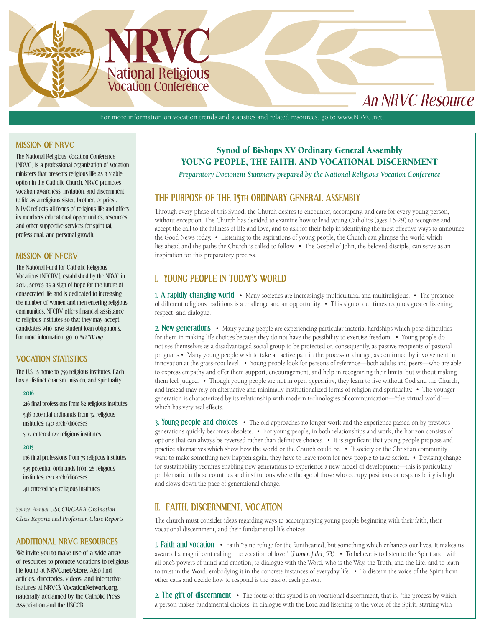

# *An NRVC Resource*

For more information on vocation trends and statistics and related resources, go to [www.NRVC.net.](http://www.NRVC.net)

### **MISSION OF NRVC**

The National Religious Vocation Conference (NRVC) is a professional organization of vocation ministers that presents religious life as a viable option in the Catholic Church. NRVC promotes vocation awareness, invitation, and discernment to life as a religious sister, brother, or priest. NRVC reflects all forms of religious life and offers its members educational opportunities, resources, and other supportive services for spiritual, professional, and personal growth.

### **MISSION OF NFCRV**

The National Fund for Catholic Religious Vocations (NFCRV), established by the NRVC in 2014, serves as a sign of hope for the future of consecrated life and is dedicated to increasing the number of women and men entering religious communities. NFCRV offers financial assistance to religious institutes so that they may accept candidates who have student loan obligations. For more information, go to *[NFCRV.org](http://www.nfcrv.org/)*.

### **VOCATION STATISTICS**

The U.S. is home to 759 religious institutes. Each has a distinct charism, mission, and spirituality.

#### **2016**

216 final professions from 82 religious institutes 548 potential ordinands from 32 religious institutes; 140 arch/dioceses

502 entered 122 religious institutes

#### **2015**

136 final professions from 75 religious institutes 595 potential ordinands from 28 religious institutes; 120 arch/dioceses

411 entered 109 religious institutes

*Source: Annual [USCCB/CARA Ordination](http://www.usccb.org/beliefs-and-teachings/vocations/ordination-class/index.cfm)  [Class Reports and Profession Class Reports](http://www.usccb.org/beliefs-and-teachings/vocations/ordination-class/index.cfm)*

### **ADDITIONAL NRVC RESOURCES**

We invite you to make use of a wide array of resources to promote vocations to religious life found at **[NRVC.net/store](https://nrvc.net/store)**. Also find articles, directories, videos, and interactive features at NRVC's **[VocationNetwork.org](https://vocationnetwork.org/en/)**, nationally acclaimed by the Catholic Press Association and the USCCB.

# Synod of Bishops XV Ordinary General Assembly YOUNG PEOPLE, THE FAITH, AND VOCATIONAL DISCERNMENT

*Preparatory Document Summary prepared by the National Religious Vocation Conference*

# **THE PURPOSE OF THE 15TH ORDINARY GENERAL ASSEMBLY**

Through every phase of this Synod, the Church desires to encounter, accompany, and care for every young person, without exception. The Church has decided to examine how to lead young Catholics (ages 16-29) to recognize and accept the call to the fullness of life and love, and to ask for their help in identifying the most effective ways to announce the Good News today. • Listening to the aspirations of young people, the Church can glimpse the world which lies ahead and the paths the Church is called to follow. • The Gospel of John, the beloved disciple, can serve as an inspiration for this preparatory process.

# **I. YOUNG PEOPLE IN TODAY'S WORLD**

**1. A rapidly changing world** • Many societies are increasingly multicultural and multireligious. • The presence of different religious traditions is a challenge and an opportunity. • This sign of our times requires greater listening, respect, and dialogue.

**2. New generations** • Many young people are experiencing particular material hardships which pose difficulties for them in making life choices because they do not have the possibility to exercise freedom. • Young people do not see themselves as a disadvantaged social group to be protected or, consequently, as passive recipients of pastoral programs.• Many young people wish to take an active part in the process of change, as confirmed by involvement in innovation at the grass-root level. • Young people look for persons of reference—both adults and peers—who are able to express empathy and offer them support, encouragement, and help in recognizing their limits, but without making them feel judged. • Though young people are not in open *opposition*, they learn to live without God and the Church, and instead may rely on alternative and minimally institutionalized forms of religion and spirituality. • The younger generation is characterized by its relationship with modern technologies of communication—"the virtual world" which has very real effects.

**3. Young people and choices** • The old approaches no longer work and the experience passed on by previous generations quickly becomes obsolete. • For young people, in both relationships and work, the horizon consists of options that can always be reversed rather than definitive choices. • It is significant that young people propose and practice alternatives which show how the world or the Church could be. • If society or the Christian community want to make something new happen again, they have to leave room for new people to take action. • Devising change for sustainability requires enabling new generations to experience a new model of development—this is particularly problematic in those countries and institutions where the age of those who occupy positions or responsibility is high and slows down the pace of generational change.

# **II. FAITH, DISCERNMENT, VOCATION**

The church must consider ideas regarding ways to accompanying young people beginning with their faith, their vocational discernment, and their fundamental life choices.

**1. Faith and vocation** • Faith "is no refuge for the fainthearted, but something which enhances our lives. It makes us aware of a magnificent calling, the vocation of love." (*Lumen fidei*, 53). • To believe is to listen to the Spirit and, with all one's powers of mind and emotion, to dialogue with the Word, who is the Way, the Truth, and the Life, and to learn to trust in the Word, embodying it in the concrete instances of everyday life. • To discern the voice of the Spirit from other calls and decide how to respond is the task of each person.

**2. The gift of discernment** • The focus of this synod is on vocational discernment, that is, "the process by which a person makes fundamental choices, in dialogue with the Lord and listening to the voice of the Spirit, starting with